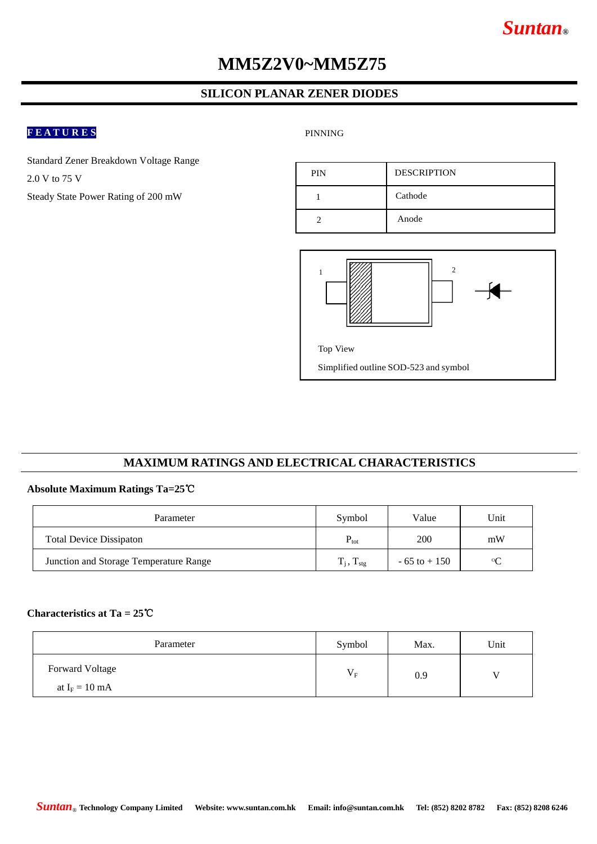# *Suntan***®**

# **MM5Z2V0~MM5Z75**

### **SILICON PLANAR ZENER DIODES**

## **F E A T U R E S**

PINNING

Standard Zener Breakdown Voltage Range 2.0 V to 75 V Steady State Power Rating of 200 mW

| <b>PIN</b> | <b>DESCRIPTION</b> |
|------------|--------------------|
|            | Cathode            |
|            | Anode              |



#### **MAXIMUM RATINGS AND ELECTRICAL CHARACTERISTICS**

#### **Absolute Maximum Ratings Ta=25**℃

| Parameter                              | Symbol                   | Value           | Unit |  |
|----------------------------------------|--------------------------|-----------------|------|--|
| <b>Total Device Dissipaton</b>         | $\rm P_{tot}$            | 200             | mW   |  |
| Junction and Storage Temperature Range | $T_i$ , $T_{\text{stg}}$ | $-65$ to $+150$ | ഗ    |  |

### **Characteristics at Ta = 25**℃

| Parameter              | Symbol      | Max. | Unit |
|------------------------|-------------|------|------|
| <b>Forward Voltage</b> | $V_{\rm F}$ | 0.9  |      |
| at $I_F = 10$ mA       |             |      |      |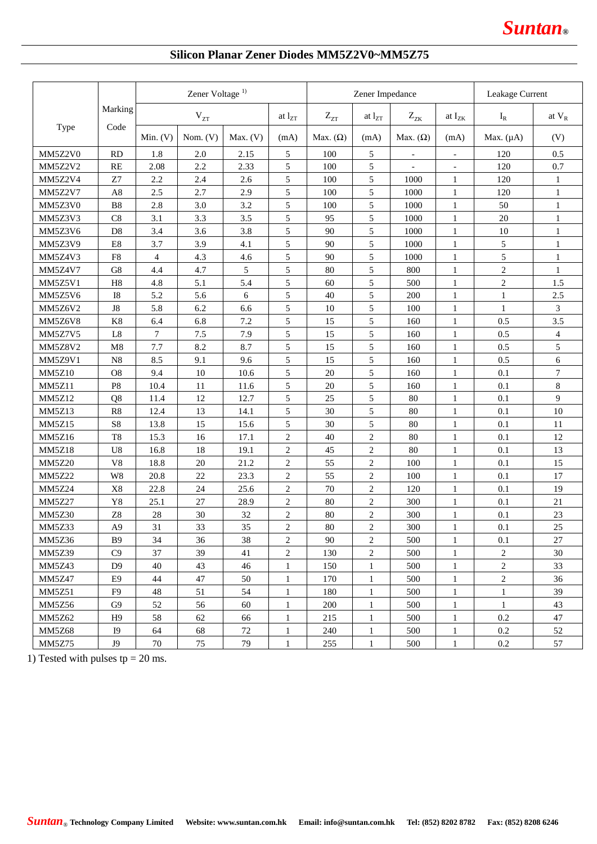

## **Silicon Planar Zener Diodes MM5Z2V0~MM5Z75**

|               |                | Zener Voltage <sup>1)</sup> |              |          |                | Zener Impedance |                |                          |                          | Leakage Current |                  |
|---------------|----------------|-----------------------------|--------------|----------|----------------|-----------------|----------------|--------------------------|--------------------------|-----------------|------------------|
|               | Marking        |                             | $\rm V_{ZT}$ |          | at $l_{ZT}$    | $Z_{ZT}$        | at $l_{ZT}$    | $Z_{ZK}$                 | at I <sub>ZK</sub>       | $I_R$           | at $V_R$         |
| Type          | Code           | Min. $(V)$                  | Nom. $(V)$   | Max. (V) | (mA)           | Max. $(\Omega)$ | (mA)           | Max. $(\Omega)$          | (mA)                     | Max. $(\mu A)$  | (V)              |
| MM5Z2V0       | <b>RD</b>      | 1.8                         | 2.0          | 2.15     | 5              | 100             | 5              | $\overline{\phantom{a}}$ | $\overline{\phantom{a}}$ | 120             | 0.5              |
| MM5Z2V2       | <b>RE</b>      | 2.08                        | 2.2          | 2.33     | 5              | 100             | 5              |                          | $\overline{\phantom{a}}$ | 120             | 0.7              |
| MM5Z2V4       | Z7             | 2.2                         | 2.4          | 2.6      | 5              | 100             | 5              | 1000                     | 1                        | 120             | $\mathbf{1}$     |
| MM5Z2V7       | A8             | 2.5                         | 2.7          | 2.9      | 5              | 100             | 5              | 1000                     | 1                        | 120             | $\mathbf{1}$     |
| MM5Z3V0       | B <sub>8</sub> | 2.8                         | 3.0          | 3.2      | 5              | 100             | 5              | 1000                     | $\mathbf{1}$             | 50              | $\mathbf{1}$     |
| MM5Z3V3       | C8             | 3.1                         | 3.3          | 3.5      | 5              | 95              | 5              | 1000                     | $\mathbf{1}$             | 20              | $\mathbf{1}$     |
| MM5Z3V6       | D <sub>8</sub> | 3.4                         | 3.6          | 3.8      | 5              | 90              | 5              | 1000                     | 1                        | 10              | $\mathbf{1}$     |
| MM5Z3V9       | E8             | 3.7                         | 3.9          | 4.1      | 5              | 90              | 5              | 1000                     | 1                        | 5               | 1                |
| MM5Z4V3       | F8             | $\overline{4}$              | 4.3          | 4.6      | 5              | 90              | 5              | 1000                     | 1                        | 5               | $\mathbf{1}$     |
| MM5Z4V7       | G8             | 4.4                         | 4.7          | 5        | 5              | 80              | 5              | 800                      | 1                        | $\overline{c}$  | $\mathbf{1}$     |
| MM5Z5V1       | H <sub>8</sub> | 4.8                         | 5.1          | 5.4      | 5              | 60              | 5              | 500                      | 1                        | $\overline{c}$  | 1.5              |
| MM5Z5V6       | <b>I8</b>      | 5.2                         | 5.6          | 6        | 5              | 40              | 5              | 200                      | $\mathbf{1}$             | $\mathbf{1}$    | 2.5              |
| MM5Z6V2       | ${\rm J}8$     | 5.8                         | 6.2          | 6.6      | 5              | 10              | 5              | 100                      | $\mathbf{1}$             | 1               | $\overline{3}$   |
| MM5Z6V8       | K8             | 6.4                         | 6.8          | 7.2      | 5              | 15              | 5              | 160                      | 1                        | 0.5             | 3.5              |
| MM5Z7V5       | L <sub>8</sub> | $\tau$                      | 7.5          | 7.9      | 5              | 15              | 5              | 160                      | 1                        | 0.5             | $\overline{4}$   |
| MM5Z8V2       | M8             | 7.7                         | 8.2          | 8.7      | 5              | 15              | 5              | 160                      | $\mathbf{1}$             | 0.5             | 5                |
| MM5Z9V1       | N8             | 8.5                         | 9.1          | 9.6      | 5              | 15              | 5              | 160                      | $\mathbf{1}$             | 0.5             | 6                |
| <b>MM5Z10</b> | O <sub>8</sub> | 9.4                         | 10           | 10.6     | 5              | 20              | 5              | 160                      | 1                        | 0.1             | $\boldsymbol{7}$ |
| MM5Z11        | P <sub>8</sub> | 10.4                        | 11           | 11.6     | 5              | 20              | 5              | 160                      | $\mathbf{1}$             | 0.1             | $8\,$            |
| <b>MM5Z12</b> | Q8             | 11.4                        | 12           | 12.7     | 5              | 25              | 5              | 80                       | $\mathbf{1}$             | 0.1             | 9                |
| <b>MM5Z13</b> | R <sub>8</sub> | 12.4                        | 13           | 14.1     | 5              | 30              | 5              | 80                       | 1                        | 0.1             | 10               |
| <b>MM5Z15</b> | S8             | 13.8                        | 15           | 15.6     | 5              | 30              | 5              | 80                       | 1                        | 0.1             | 11               |
| <b>MM5Z16</b> | T <sub>8</sub> | 15.3                        | 16           | 17.1     | 2              | 40              | $\overline{c}$ | 80                       | 1                        | 0.1             | 12               |
| <b>MM5Z18</b> | U <sub>8</sub> | 16.8                        | 18           | 19.1     | 2              | 45              | $\mathbf{2}$   | 80                       | $\mathbf{1}$             | 0.1             | 13               |
| <b>MM5Z20</b> | V8             | 18.8                        | 20           | 21.2     | $\overline{2}$ | 55              | $\overline{c}$ | 100                      | 1                        | 0.1             | 15               |
| <b>MM5Z22</b> | W8             | 20.8                        | 22           | 23.3     | $\overline{2}$ | 55              | $\overline{c}$ | 100                      | $\mathbf{1}$             | 0.1             | 17               |
| <b>MM5Z24</b> | X8             | 22.8                        | 24           | 25.6     | $\mathbf{2}$   | 70              | $\sqrt{2}$     | 120                      | $\mathbf{1}$             | 0.1             | 19               |
| <b>MM5Z27</b> | Y8             | 25.1                        | 27           | 28.9     | $\mathbf{2}$   | 80              | $\sqrt{2}$     | 300                      | 1                        | 0.1             | 21               |
| <b>MM5Z30</b> | Z8             | $28\,$                      | 30           | 32       | 2              | 80              | $\overline{c}$ | 300                      | $\mathbf{1}$             | 0.1             | 23               |
| MM5Z33        | A9             | 31                          | 33           | 35       | $\mathbf{2}$   | $80\,$          | $\overline{c}$ | 300                      | $\,1\,$                  | $0.1\,$         | $25\,$           |
| MM5Z36        | <b>B</b> 9     | 34                          | 36           | 38       | 2              | 90              | $\overline{2}$ | 500                      | $\mathbf{1}$             | 0.1             | 27               |
| MM5Z39        | C9             | 37                          | 39           | 41       | 2              | 130             | $\overline{c}$ | 500                      | $\mathbf{1}$             | $\overline{c}$  | 30               |
| MM5Z43        | D <sup>9</sup> | 40                          | 43           | 46       | $\mathbf{1}$   | 150             | $\mathbf{1}$   | 500                      | $\mathbf{1}$             | $\overline{2}$  | 33               |
| <b>MM5Z47</b> | E <sub>9</sub> | 44                          | 47           | 50       | 1              | 170             | $\mathbf{1}$   | 500                      | $\mathbf{1}$             | $\overline{c}$  | 36               |
| <b>MM5Z51</b> | F <sub>9</sub> | 48                          | 51           | 54       | 1              | 180             | $\mathbf{1}$   | 500                      | $\mathbf{1}$             | $\mathbf{1}$    | 39               |
| MM5Z56        | G9             | 52                          | 56           | 60       | 1              | 200             | 1              | 500                      | $\mathbf{1}$             | $\mathbf{1}$    | 43               |
| MM5Z62        | H <sub>9</sub> | 58                          | 62           | 66       | 1              | 215             | $\mathbf{1}$   | 500                      | $\mathbf{1}$             | 0.2             | 47               |
| <b>MM5Z68</b> | I <sub>9</sub> | 64                          | 68           | 72       | $\mathbf{1}$   | 240             | $\mathbf{1}$   | 500                      | $\mathbf{1}$             | 0.2             | 52               |
| <b>MM5Z75</b> | J9             | 70                          | 75           | 79       | 1              | 255             | $\mathbf{1}$   | 500                      | $\mathbf{1}$             | 0.2             | 57               |

1) Tested with pulses  $tp = 20$  ms.